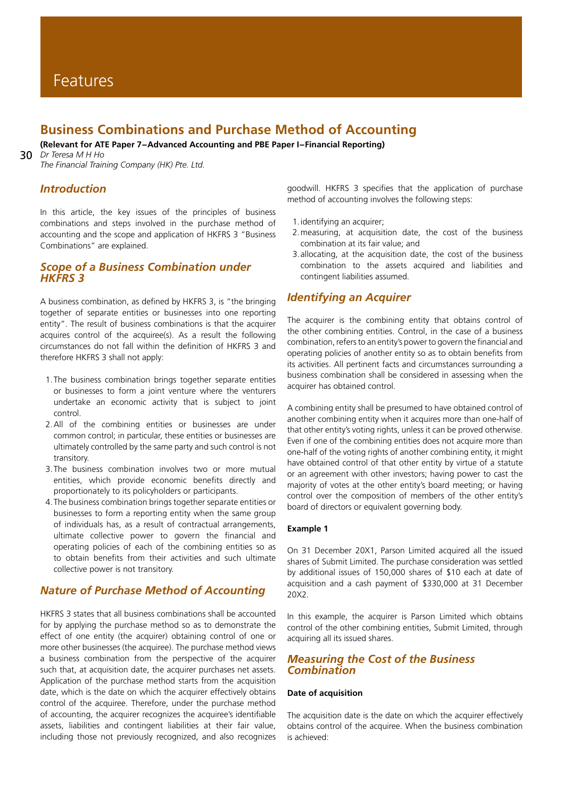# **Business Combinations and Purchase Method of Accounting**

**(Relevant for ATE Paper 7-Advanced Accounting and PBE Paper I-Financial Reporting)**

30 *Dr Teresa M H Ho The Financial Training Company (HK) Pte. Ltd.*

# *Introduction*

In this article, the key issues of the principles of business combinations and steps involved in the purchase method of accounting and the scope and application of HKFRS 3 "Business Combinations" are explained.

# *Scope of a Business Combination under HKFRS 3*

A business combination, as defined by HKFRS 3, is "the bringing together of separate entities or businesses into one reporting entity". The result of business combinations is that the acquirer acquires control of the acquiree(s). As a result the following circumstances do not fall within the definition of HKFRS 3 and therefore HKFRS 3 shall not apply:

- 1.The business combination brings together separate entities or businesses to form a joint venture where the venturers undertake an economic activity that is subject to joint control.
- 2.All of the combining entities or businesses are under common control; in particular, these entities or businesses are ultimately controlled by the same party and such control is not transitory.
- 3.The business combination involves two or more mutual entities, which provide economic benefits directly and proportionately to its policyholders or participants.
- 4.The business combination brings together separate entities or businesses to form a reporting entity when the same group of individuals has, as a result of contractual arrangements, ultimate collective power to govern the financial and operating policies of each of the combining entities so as to obtain benefits from their activities and such ultimate collective power is not transitory.

# *Nature of Purchase Method of Accounting*

HKFRS 3 states that all business combinations shall be accounted for by applying the purchase method so as to demonstrate the effect of one entity (the acquirer) obtaining control of one or more other businesses (the acquiree). The purchase method views a business combination from the perspective of the acquirer such that, at acquisition date, the acquirer purchases net assets. Application of the purchase method starts from the acquisition date, which is the date on which the acquirer effectively obtains control of the acquiree. Therefore, under the purchase method of accounting, the acquirer recognizes the acquiree's identifiable assets, liabilities and contingent liabilities at their fair value, including those not previously recognized, and also recognizes

goodwill. HKFRS 3 specifies that the application of purchase method of accounting involves the following steps:

- 1.identifying an acquirer;
- 2.measuring, at acquisition date, the cost of the business combination at its fair value; and
- 3.allocating, at the acquisition date, the cost of the business combination to the assets acquired and liabilities and contingent liabilities assumed.

# *Identifying an Acquirer*

The acquirer is the combining entity that obtains control of the other combining entities. Control, in the case of a business combination, refers to an entity's power to govern the financial and operating policies of another entity so as to obtain benefits from its activities. All pertinent facts and circumstances surrounding a business combination shall be considered in assessing when the acquirer has obtained control.

A combining entity shall be presumed to have obtained control of another combining entity when it acquires more than one-half of that other entity's voting rights, unless it can be proved otherwise. Even if one of the combining entities does not acquire more than one-half of the voting rights of another combining entity, it might have obtained control of that other entity by virtue of a statute or an agreement with other investors; having power to cast the majority of votes at the other entity's board meeting; or having control over the composition of members of the other entity's board of directors or equivalent governing body.

## **Example 1**

On 31 December 20X1, Parson Limited acquired all the issued shares of Submit Limited. The purchase consideration was settled by additional issues of 150,000 shares of \$10 each at date of acquisition and a cash payment of \$330,000 at 31 December 20X2.

In this example, the acquirer is Parson Limited which obtains control of the other combining entities, Submit Limited, through acquiring all its issued shares.

## *Measuring the Cost of the Business Combination*

### **Date of acquisition**

The acquisition date is the date on which the acquirer effectively obtains control of the acquiree. When the business combination is achieved: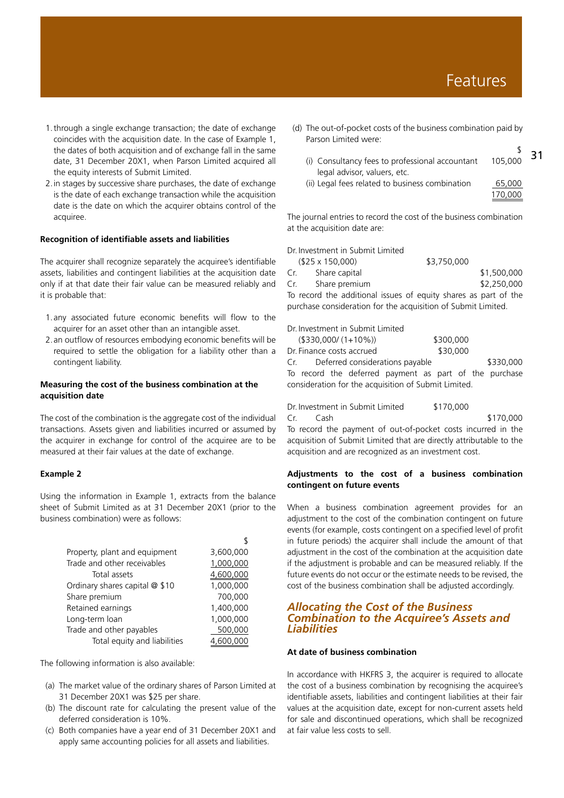- 1.through a single exchange transaction; the date of exchange coincides with the acquisition date. In the case of Example 1, the dates of both acquisition and of exchange fall in the same date, 31 December 20X1, when Parson Limited acquired all the equity interests of Submit Limited.
- 2.in stages by successive share purchases, the date of exchange is the date of each exchange transaction while the acquisition date is the date on which the acquirer obtains control of the acquiree.

#### **Recognition of identifiable assets and liabilities**

The acquirer shall recognize separately the acquiree's identifiable assets, liabilities and contingent liabilities at the acquisition date only if at that date their fair value can be measured reliably and it is probable that:

- 1.any associated future economic benefits will flow to the acquirer for an asset other than an intangible asset.
- 2.an outflow of resources embodying economic benefits will be required to settle the obligation for a liability other than a contingent liability.

## **Measuring the cost of the business combination at the acquisition date**

The cost of the combination is the aggregate cost of the individual transactions. Assets given and liabilities incurred or assumed by the acquirer in exchange for control of the acquiree are to be measured at their fair values at the date of exchange.

#### **Example 2**

Using the information in Example 1, extracts from the balance sheet of Submit Limited as at 31 December 20X1 (prior to the business combination) were as follows:

| Property, plant and equipment  | 3,600,000 |
|--------------------------------|-----------|
| Trade and other receivables    | 1,000,000 |
| Total assets                   | 4,600,000 |
| Ordinary shares capital @ \$10 | 1,000,000 |
| Share premium                  | 700,000   |
| Retained earnings              | 1,400,000 |
| Long-term loan                 | 1,000,000 |
| Trade and other payables       | 500,000   |
| Total equity and liabilities   | 4,600,000 |

The following information is also available:

- (a) The market value of the ordinary shares of Parson Limited at 31 December 20X1 was \$25 per share.
- (b) The discount rate for calculating the present value of the deferred consideration is 10%.
- (c) Both companies have a year end of 31 December 20X1 and apply same accounting policies for all assets and liabilities.
- (d) The out-of-pocket costs of the business combination paid by Parson Limited were:
	- 31  $\sim$ (i) Consultancy fees to professional accountant 105,000 legal advisor, valuers, etc. (ii) Legal fees related to business combination 65,000 170,000

The journal entries to record the cost of the business combination at the acquisition date are:

Dr. Investment in Submit Limited

|                                                                 | $($25 \times 150,000)$ | \$3,750,000 |             |
|-----------------------------------------------------------------|------------------------|-------------|-------------|
| Cr.                                                             | Share capital          |             | \$1,500,000 |
| Cr.                                                             | Share premium          |             | \$2,250,000 |
| To record the additional issues of equity shares as part of the |                        |             |             |
| purchase consideration for the acquisition of Submit Limited.   |                        |             |             |

Dr. Investment in Submit Limited

| $($ \$330,000/ $(1+10\%)$                              | \$300,000 |  |
|--------------------------------------------------------|-----------|--|
| Dr. Finance costs accrued                              | \$30,000  |  |
| Cr. Deferred considerations payable                    | \$330,000 |  |
| To record the deferred payment as part of the purchase |           |  |
| consideration for the acquisition of Submit Limited.   |           |  |

Dr. Investment in Submit Limited \$170,000 Cr. Cash \$170,000 To record the payment of out-of-pocket costs incurred in the acquisition of Submit Limited that are directly attributable to the acquisition and are recognized as an investment cost.

## **Adjustments to the cost of a business combination contingent on future events**

When a business combination agreement provides for an adjustment to the cost of the combination contingent on future events (for example, costs contingent on a specified level of profit in future periods) the acquirer shall include the amount of that adjustment in the cost of the combination at the acquisition date if the adjustment is probable and can be measured reliably. If the future events do not occur or the estimate needs to be revised, the cost of the business combination shall be adjusted accordingly.

## *Allocating the Cost of the Business Combination to the Acquiree's Assets and Liabilities*

## **At date of business combination**

In accordance with HKFRS 3, the acquirer is required to allocate the cost of a business combination by recognising the acquiree's identifiable assets, liabilities and contingent liabilities at their fair values at the acquisition date, except for non-current assets held for sale and discontinued operations, which shall be recognized at fair value less costs to sell.